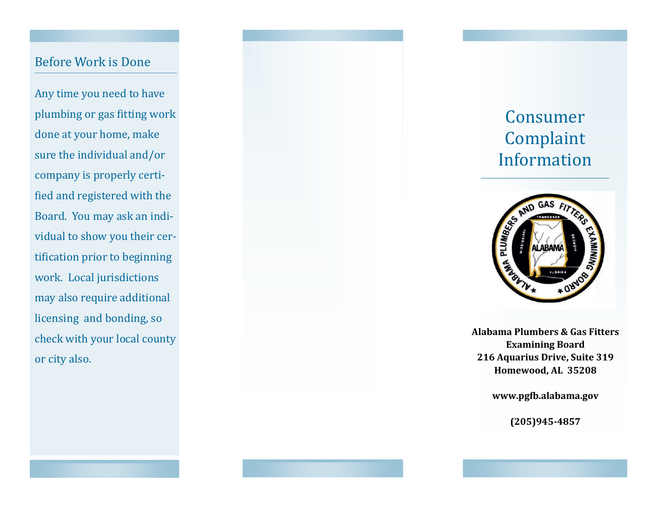### Before Work is Done

Any time you need to have plumbing or gas fitting work done at your home, make sure the individual and/or company is properly certified and registered with the Board. You may ask an individual to show you their certification prior to beginning work. Local jurisdictions may also require additional licensing and bonding, so check with your local county or city also.

# Consumer Complaint Information



**Alabama Plumbers & Gas Fitters Examining Board 216 Aquarius Drive, Suite 319 Homewood, AL 35208**

**www.pgfb.alabama.gov**

**(205)945 -4857**